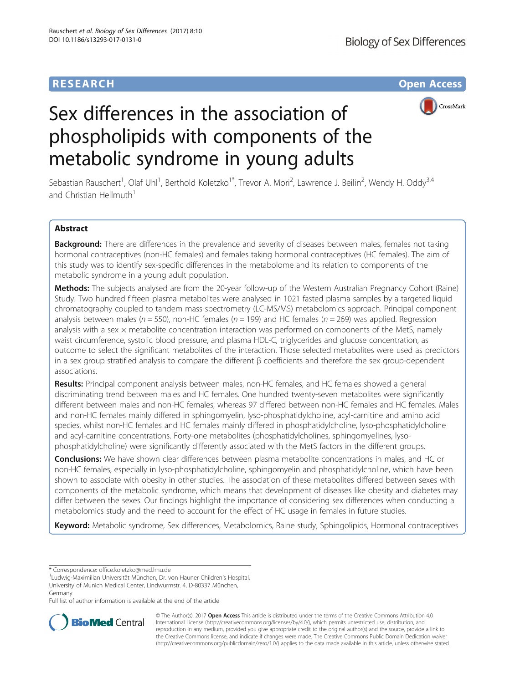## **RESEARCH CHE Open Access**



# Sex differences in the association of phospholipids with components of the metabolic syndrome in young adults

Sebastian Rauschert<sup>1</sup>, Olaf Uhl<sup>1</sup>, Berthold Koletzko<sup>1\*</sup>, Trevor A. Mori<sup>2</sup>, Lawrence J. Beilin<sup>2</sup>, Wendy H. Oddy<sup>3,4</sup> and Christian Hellmuth<sup>1</sup>

## Abstract

Background: There are differences in the prevalence and severity of diseases between males, females not taking hormonal contraceptives (non-HC females) and females taking hormonal contraceptives (HC females). The aim of this study was to identify sex-specific differences in the metabolome and its relation to components of the metabolic syndrome in a young adult population.

Methods: The subjects analysed are from the 20-year follow-up of the Western Australian Pregnancy Cohort (Raine) Study. Two hundred fifteen plasma metabolites were analysed in 1021 fasted plasma samples by a targeted liquid chromatography coupled to tandem mass spectrometry (LC-MS/MS) metabolomics approach. Principal component analysis between males ( $n = 550$ ), non-HC females ( $n = 199$ ) and HC females ( $n = 269$ ) was applied. Regression analysis with a sex  $\times$  metabolite concentration interaction was performed on components of the MetS, namely waist circumference, systolic blood pressure, and plasma HDL-C, triglycerides and glucose concentration, as outcome to select the significant metabolites of the interaction. Those selected metabolites were used as predictors in a sex group stratified analysis to compare the different β coefficients and therefore the sex group-dependent associations.

Results: Principal component analysis between males, non-HC females, and HC females showed a general discriminating trend between males and HC females. One hundred twenty-seven metabolites were significantly different between males and non-HC females, whereas 97 differed between non-HC females and HC females. Males and non-HC females mainly differed in sphingomyelin, lyso-phosphatidylcholine, acyl-carnitine and amino acid species, whilst non-HC females and HC females mainly differed in phosphatidylcholine, lyso-phosphatidylcholine and acyl-carnitine concentrations. Forty-one metabolites (phosphatidylcholines, sphingomyelines, lysophosphatidylcholine) were significantly differently associated with the MetS factors in the different groups.

**Conclusions:** We have shown clear differences between plasma metabolite concentrations in males, and HC or non-HC females, especially in lyso-phosphatidylcholine, sphingomyelin and phosphatidylcholine, which have been shown to associate with obesity in other studies. The association of these metabolites differed between sexes with components of the metabolic syndrome, which means that development of diseases like obesity and diabetes may differ between the sexes. Our findings highlight the importance of considering sex differences when conducting a metabolomics study and the need to account for the effect of HC usage in females in future studies.

Keyword: Metabolic syndrome, Sex differences, Metabolomics, Raine study, Sphingolipids, Hormonal contraceptives

\* Correspondence: [office.koletzko@med.lmu.de](mailto:office.koletzko@med.lmu.de) <sup>1</sup>

<sup>1</sup> Ludwig-Maximilian Universität München, Dr. von Hauner Children's Hospital, University of Munich Medical Center, Lindwurmstr. 4, D-80337 München, Germany

Full list of author information is available at the end of the article



© The Author(s). 2017 **Open Access** This article is distributed under the terms of the Creative Commons Attribution 4.0 International License [\(http://creativecommons.org/licenses/by/4.0/](http://creativecommons.org/licenses/by/4.0/)), which permits unrestricted use, distribution, and reproduction in any medium, provided you give appropriate credit to the original author(s) and the source, provide a link to the Creative Commons license, and indicate if changes were made. The Creative Commons Public Domain Dedication waiver [\(http://creativecommons.org/publicdomain/zero/1.0/](http://creativecommons.org/publicdomain/zero/1.0/)) applies to the data made available in this article, unless otherwise stated.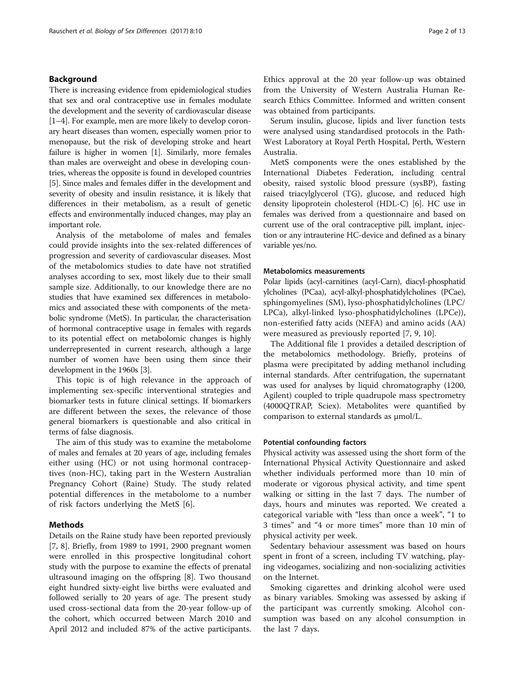## Background

There is increasing evidence from epidemiological studies that sex and oral contraceptive use in females modulate the development and the severity of cardiovascular disease [[1](#page-11-0)–[4](#page-11-0)]. For example, men are more likely to develop coronary heart diseases than women, especially women prior to menopause, but the risk of developing stroke and heart failure is higher in women [[1\]](#page-11-0). Similarly, more females than males are overweight and obese in developing countries, whereas the opposite is found in developed countries [[5\]](#page-11-0). Since males and females differ in the development and severity of obesity and insulin resistance, it is likely that differences in their metabolism, as a result of genetic effects and environmentally induced changes, may play an important role.

Analysis of the metabolome of males and females could provide insights into the sex-related differences of progression and severity of cardiovascular diseases. Most of the metabolomics studies to date have not stratified analyses according to sex, most likely due to their small sample size. Additionally, to our knowledge there are no studies that have examined sex differences in metabolomics and associated these with components of the metabolic syndrome (MetS). In particular, the characterisation of hormonal contraceptive usage in females with regards to its potential effect on metabolomic changes is highly underrepresented in current research, although a large number of women have been using them since their development in the 1960s [\[3](#page-11-0)].

This topic is of high relevance in the approach of implementing sex-specific interventional strategies and biomarker tests in future clinical settings. If biomarkers are different between the sexes, the relevance of those general biomarkers is questionable and also critical in terms of false diagnosis.

The aim of this study was to examine the metabolome of males and females at 20 years of age, including females either using (HC) or not using hormonal contraceptives (non-HC), taking part in the Western Australian Pregnancy Cohort (Raine) Study. The study related potential differences in the metabolome to a number of risk factors underlying the MetS [[6\]](#page-11-0).

#### Methods

Details on the Raine study have been reported previously [[7, 8](#page-11-0)]. Briefly, from 1989 to 1991, 2900 pregnant women were enrolled in this prospective longitudinal cohort study with the purpose to examine the effects of prenatal ultrasound imaging on the offspring [\[8\]](#page-11-0). Two thousand eight hundred sixty-eight live births were evaluated and followed serially to 20 years of age. The present study used cross-sectional data from the 20-year follow-up of the cohort, which occurred between March 2010 and April 2012 and included 87% of the active participants. Ethics approval at the 20 year follow-up was obtained from the University of Western Australia Human Research Ethics Committee. Informed and written consent was obtained from participants.

Serum insulin, glucose, lipids and liver function tests were analysed using standardised protocols in the Path-West Laboratory at Royal Perth Hospital, Perth, Western Australia.

MetS components were the ones established by the International Diabetes Federation, including central obesity, raised systolic blood pressure (sysBP), fasting raised triacylglycerol (TG), glucose, and reduced high density lipoprotein cholesterol (HDL-C) [\[6\]](#page-11-0). HC use in females was derived from a questionnaire and based on current use of the oral contraceptive pill, implant, injection or any intrauterine HC-device and defined as a binary variable yes/no.

#### Metabolomics measurements

Polar lipids (acyl-carnitines (acyl-Carn), diacyl-phosphatid ylcholines (PCaa), acyl-alkyl-phosphatidylcholines (PCae), sphingomyelines (SM), lyso-phosphatidylcholines (LPC/ LPCa), alkyl-linked lyso-phosphatidylcholines (LPCe)), non-esterified fatty acids (NEFA) and amino acids (AA) were measured as previously reported [\[7](#page-11-0), [9](#page-11-0), [10](#page-11-0)].

The Additional file 1 provides a detailed description of the metabolomics methodology. Briefly, proteins of plasma were precipitated by adding methanol including internal standards. After centrifugation, the supernatant was used for analyses by liquid chromatography (1200, Agilent) coupled to triple quadrupole mass spectrometry (4000QTRAP, Sciex). Metabolites were quantified by comparison to external standards as μmol/L.

## Potential confounding factors

Physical activity was assessed using the short form of the International Physical Activity Questionnaire and asked whether individuals performed more than 10 min of moderate or vigorous physical activity, and time spent walking or sitting in the last 7 days. The number of days, hours and minutes was reported. We created a categorical variable with "less than once a week", "1 to 3 times" and "4 or more times" more than 10 min of physical activity per week.

Sedentary behaviour assessment was based on hours spent in front of a screen, including TV watching, playing videogames, socializing and non-socializing activities on the Internet.

Smoking cigarettes and drinking alcohol were used as binary variables. Smoking was assessed by asking if the participant was currently smoking. Alcohol consumption was based on any alcohol consumption in the last 7 days.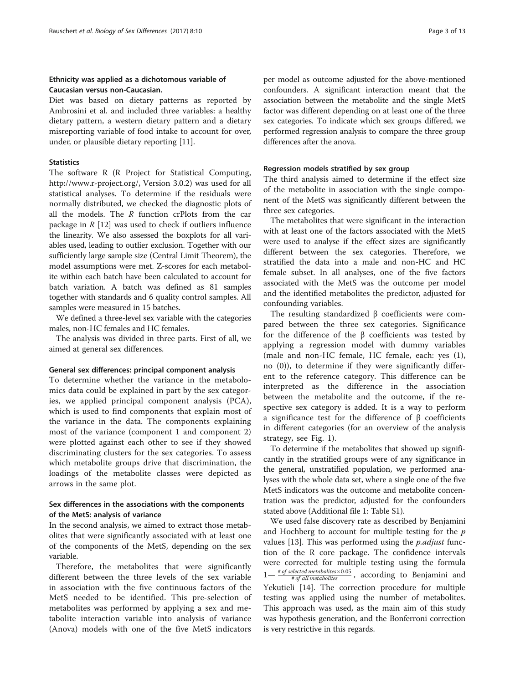## Ethnicity was applied as a dichotomous variable of Caucasian versus non-Caucasian.

Diet was based on dietary patterns as reported by Ambrosini et al. and included three variables: a healthy dietary pattern, a western dietary pattern and a dietary misreporting variable of food intake to account for over, under, or plausible dietary reporting [\[11](#page-11-0)].

#### **Statistics**

The software R (R Project for Statistical Computing, <http://www.r-project.org/>, Version 3.0.2) was used for all statistical analyses. To determine if the residuals were normally distributed, we checked the diagnostic plots of all the models. The  $R$  function crPlots from the car package in  $R$  [[12\]](#page-11-0) was used to check if outliers influence the linearity. We also assessed the boxplots for all variables used, leading to outlier exclusion. Together with our sufficiently large sample size (Central Limit Theorem), the model assumptions were met. Z-scores for each metabolite within each batch have been calculated to account for batch variation. A batch was defined as 81 samples together with standards and 6 quality control samples. All samples were measured in 15 batches.

We defined a three-level sex variable with the categories males, non-HC females and HC females.

The analysis was divided in three parts. First of all, we aimed at general sex differences.

#### General sex differences: principal component analysis

To determine whether the variance in the metabolomics data could be explained in part by the sex categories, we applied principal component analysis (PCA), which is used to find components that explain most of the variance in the data. The components explaining most of the variance (component 1 and component 2) were plotted against each other to see if they showed discriminating clusters for the sex categories. To assess which metabolite groups drive that discrimination, the loadings of the metabolite classes were depicted as arrows in the same plot.

## Sex differences in the associations with the components of the MetS: analysis of variance

In the second analysis, we aimed to extract those metabolites that were significantly associated with at least one of the components of the MetS, depending on the sex variable.

Therefore, the metabolites that were significantly different between the three levels of the sex variable in association with the five continuous factors of the MetS needed to be identified. This pre-selection of metabolites was performed by applying a sex and metabolite interaction variable into analysis of variance (Anova) models with one of the five MetS indicators

per model as outcome adjusted for the above-mentioned confounders. A significant interaction meant that the association between the metabolite and the single MetS factor was different depending on at least one of the three sex categories. To indicate which sex groups differed, we performed regression analysis to compare the three group differences after the anova.

## Regression models stratified by sex group

The third analysis aimed to determine if the effect size of the metabolite in association with the single component of the MetS was significantly different between the three sex categories.

The metabolites that were significant in the interaction with at least one of the factors associated with the MetS were used to analyse if the effect sizes are significantly different between the sex categories. Therefore, we stratified the data into a male and non-HC and HC female subset. In all analyses, one of the five factors associated with the MetS was the outcome per model and the identified metabolites the predictor, adjusted for confounding variables.

The resulting standardized β coefficients were compared between the three sex categories. Significance for the difference of the β coefficients was tested by applying a regression model with dummy variables (male and non-HC female, HC female, each: yes (1), no (0)), to determine if they were significantly different to the reference category. This difference can be interpreted as the difference in the association between the metabolite and the outcome, if the respective sex category is added. It is a way to perform a significance test for the difference of β coefficients in different categories (for an overview of the analysis strategy, see Fig. [1\)](#page-3-0).

To determine if the metabolites that showed up significantly in the stratified groups were of any significance in the general, unstratified population, we performed analyses with the whole data set, where a single one of the five MetS indicators was the outcome and metabolite concentration was the predictor, adjusted for the confounders stated above (Additional file [1](#page-10-0): Table S1).

We used false discovery rate as described by Benjamini and Hochberg to account for multiple testing for the  $p$ values [\[13\]](#page-11-0). This was performed using the *p.adjust* function of the R core package. The confidence intervals were corrected for multiple testing using the formula  $1-\frac{of \space of \space selected \space metabolic \times 0.05}{\# of \space all \space metabolic \space to}$ , according to Benjamini and Yekutieli [[14](#page-11-0)]. The correction procedure for multiple testing was applied using the number of metabolites. This approach was used, as the main aim of this study was hypothesis generation, and the Bonferroni correction is very restrictive in this regards.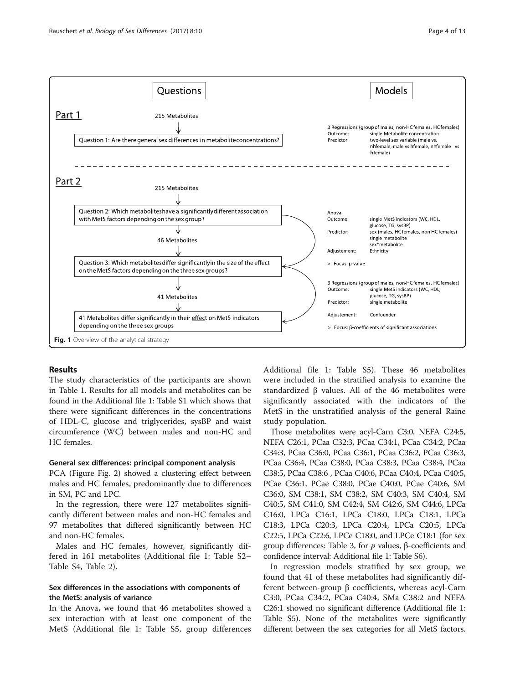

<span id="page-3-0"></span>

## Results

The study characteristics of the participants are shown in Table [1.](#page-4-0) Results for all models and metabolites can be found in the Additional file [1](#page-10-0): Table S1 which shows that there were significant differences in the concentrations of HDL-C, glucose and triglycerides, sysBP and waist circumference (WC) between males and non-HC and HC females.

## General sex differences: principal component analysis

PCA (Figure [Fig. 2\)](#page-5-0) showed a clustering effect between males and HC females, predominantly due to differences in SM, PC and LPC.

In the regression, there were 127 metabolites significantly different between males and non-HC females and 97 metabolites that differed significantly between HC and non-HC females.

Males and HC females, however, significantly differed in 161 metabolites (Additional file [1:](#page-10-0) Table S2– Table S4, Table [2](#page-5-0)).

## Sex differences in the associations with components of the MetS: analysis of variance

In the Anova, we found that 46 metabolites showed a sex interaction with at least one component of the MetS (Additional file [1](#page-10-0): Table S5, group differences

Additional file [1:](#page-10-0) Table S5). These 46 metabolites were included in the stratified analysis to examine the standardized β values. All of the 46 metabolites were significantly associated with the indicators of the MetS in the unstratified analysis of the general Raine study population.

Those metabolites were acyl-Carn C3:0, NEFA C24:5, NEFA C26:1, PCaa C32:3, PCaa C34:1, PCaa C34:2, PCaa C34:3, PCaa C36:0, PCaa C36:1, PCaa C36:2, PCaa C36:3, PCaa C36:4, PCaa C38:0, PCaa C38:3, PCaa C38:4, PCaa C38:5, PCaa C38:6 , PCaa C40:6, PCaa C40:4, PCaa C40:5, PCae C36:1, PCae C38:0, PCae C40:0, PCae C40:6, SM C36:0, SM C38:1, SM C38:2, SM C40:3, SM C40:4, SM C40:5, SM C41:0, SM C42:4, SM C42:6, SM C44:6, LPCa C16:0, LPCa C16:1, LPCa C18:0, LPCa C18:1, LPCa C18:3, LPCa C20:3, LPCa C20:4, LPCa C20:5, LPCa C22:5, LPCa C22:6, LPCe C18:0, and LPCe C18:1 (for sex group differences: Table [3](#page-6-0), for  *values, β-coefficients and* confidence interval: Additional file [1](#page-10-0): Table S6).

In regression models stratified by sex group, we found that 41 of these metabolites had significantly different between-group β coefficients, whereas acyl-Carn C3:0, PCaa C34:2, PCaa C40:4, SMa C38:2 and NEFA C26:1 showed no significant difference (Additional file [1](#page-10-0): Table S5). None of the metabolites were significantly different between the sex categories for all MetS factors.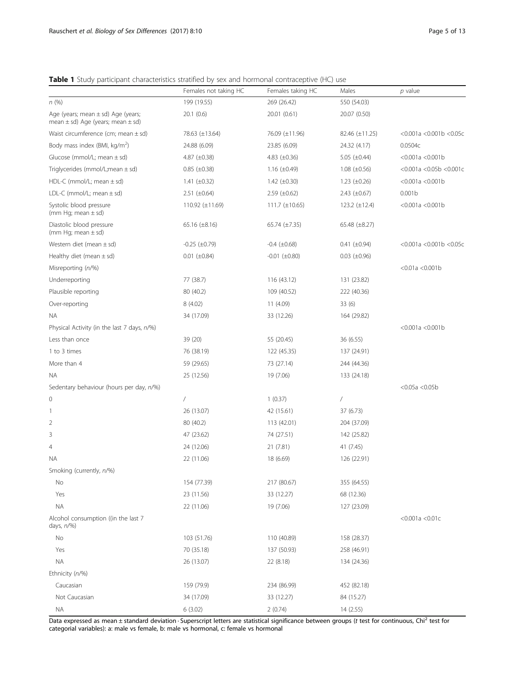## <span id="page-4-0"></span>Table 1 Study participant characteristics stratified by sex and hormonal contraceptive (HC) use

|                                                                                     | Females not taking HC  | Females taking HC      | Males                 | $p$ value                       |
|-------------------------------------------------------------------------------------|------------------------|------------------------|-----------------------|---------------------------------|
| n(%)                                                                                | 199 (19.55)            | 269 (26.42)            | 550 (54.03)           |                                 |
| Age (years; mean $\pm$ sd) Age (years;<br>mean $\pm$ sd) Age (years; mean $\pm$ sd) | 20.1(0.6)              | 20.01 (0.61)           | 20.07 (0.50)          |                                 |
| Waist circumference (cm; mean $\pm$ sd)                                             | 78.63 (±13.64)         | 76.09 (±11.96)         | 82.46 (±11.25)        | <0.001a <0.001b <0.05c          |
| Body mass index (BMI, kg/m <sup>2</sup> )                                           | 24.88 (6.09)           | 23.85 (6.09)           | 24.32 (4.17)          | 0.0504c                         |
| Glucose (mmol/L; mean $\pm$ sd)                                                     | 4.87 $(\pm 0.38)$      | 4.83 $(\pm 0.36)$      | 5.05 $(\pm 0.44)$     | $<$ 0.001a $<$ 0.001b           |
| Triglycerides (mmol/L;mean $\pm$ sd)                                                | $0.85 \ (\pm 0.38)$    | 1.16 $(\pm 0.49)$      | $1.08 \ (\pm 0.56)$   | $<$ 0.001a $<$ 0.05b $<$ 0.001c |
| HDL-C (mmol/L; mean $\pm$ sd)                                                       | 1.41 $(\pm 0.32)$      | 1.42 $(\pm 0.30)$      | 1.23 $(\pm 0.26)$     | $<$ 0.001a $<$ 0.001b           |
| LDL-C (mmol/L; mean $\pm$ sd)                                                       | $2.51 (\pm 0.64)$      | $2.59 \ (\pm 0.62)$    | $2.43 \ (\pm 0.67)$   | 0.001 <sub>b</sub>              |
| Systolic blood pressure<br>(mm Hg; mean $\pm$ sd)                                   | 110.92 $(\pm 11.69)$   | 111.7 $(\pm 10.65)$    | 123.2 $(\pm 12.4)$    | $<$ 0.001a $<$ 0.001b           |
| Diastolic blood pressure<br>(mm Hg; mean $\pm$ sd)                                  | 65.16 $(\pm 8.16)$     | 65.74 $(\pm 7.35)$     | 65.48 $(\pm 8.27)$    |                                 |
| Western diet (mean $\pm$ sd)                                                        | $-0.25$ ( $\pm 0.79$ ) | $-0.4$ ( $\pm 0.68$ )  | $0.41$ ( $\pm 0.94$ ) | $<$ 0.001a $<$ 0.001b $<$ 0.05c |
| Healthy diet (mean $\pm$ sd)                                                        | $0.01$ ( $\pm 0.84$ )  | $-0.01$ ( $\pm 0.80$ ) | $0.03$ ( $\pm 0.96$ ) |                                 |
| Misreporting (n/%)                                                                  |                        |                        |                       | $<$ 0.01a $<$ 0.001b            |
| Underreporting                                                                      | 77 (38.7)              | 116 (43.12)            | 131 (23.82)           |                                 |
| Plausible reporting                                                                 | 80 (40.2)              | 109 (40.52)            | 222 (40.36)           |                                 |
| Over-reporting                                                                      | 8(4.02)                | 11 (4.09)              | 33 (6)                |                                 |
| NA.                                                                                 | 34 (17.09)             | 33 (12.26)             | 164 (29.82)           |                                 |
| Physical Activity (in the last 7 days, n/%)                                         |                        |                        |                       | $<$ 0.001a $<$ 0.001b           |
| Less than once                                                                      | 39 (20)                | 55 (20.45)             | 36 (6.55)             |                                 |
| 1 to 3 times                                                                        | 76 (38.19)             | 122 (45.35)            | 137 (24.91)           |                                 |
| More than 4                                                                         | 59 (29.65)             | 73 (27.14)             | 244 (44.36)           |                                 |
| NA.                                                                                 | 25 (12.56)             | 19 (7.06)              | 133 (24.18)           |                                 |
| Sedentary behaviour (hours per day, n/%)                                            |                        |                        |                       | $<$ 0.05a $<$ 0.05b             |
| $\mathbf 0$                                                                         | $\sqrt{2}$             | 1(0.37)                | /                     |                                 |
| 1                                                                                   | 26 (13.07)             | 42 (15.61)             | 37 (6.73)             |                                 |
| 2                                                                                   | 80 (40.2)              | 113 (42.01)            | 204 (37.09)           |                                 |
| 3                                                                                   | 47 (23.62)             | 74 (27.51)             | 142 (25.82)           |                                 |
| 4                                                                                   | 24 (12.06)             | 21 (7.81)              | 41 (7.45)             |                                 |
| ΝA                                                                                  | 22 (11.06)             | 18 (6.69)              | 126 (22.91)           |                                 |
| Smoking (currently, n/%)                                                            |                        |                        |                       |                                 |
| No                                                                                  | 154 (77.39)            | 217 (80.67)            | 355 (64.55)           |                                 |
| Yes                                                                                 | 23 (11.56)             | 33 (12.27)             | 68 (12.36)            |                                 |
| <b>NA</b>                                                                           | 22 (11.06)             | 19 (7.06)              | 127 (23.09)           |                                 |
| Alcohol consumption ((in the last 7<br>days, n/%)                                   |                        |                        |                       | $<$ 0.001a $<$ 0.01c            |
| No                                                                                  | 103 (51.76)            | 110 (40.89)            | 158 (28.37)           |                                 |
| Yes                                                                                 | 70 (35.18)             | 137 (50.93)            | 258 (46.91)           |                                 |
| <b>NA</b>                                                                           | 26 (13.07)             | 22 (8.18)              | 134 (24.36)           |                                 |
| Ethnicity (n/%)                                                                     |                        |                        |                       |                                 |
| Caucasian                                                                           | 159 (79.9)             | 234 (86.99)            | 452 (82.18)           |                                 |
| Not Caucasian                                                                       | 34 (17.09)             | 33 (12.27)             | 84 (15.27)            |                                 |
| <b>NA</b>                                                                           | 6(3.02)                | 2(0.74)                | 14 (2.55)             |                                 |

Data expressed as mean±standard deviation ∙Superscript letters are statistical significance between groups (*t* test for continuous, Chi<sup>2</sup> test for<br>categorial variables): a: male vs female, b: male vs hormonal, c: female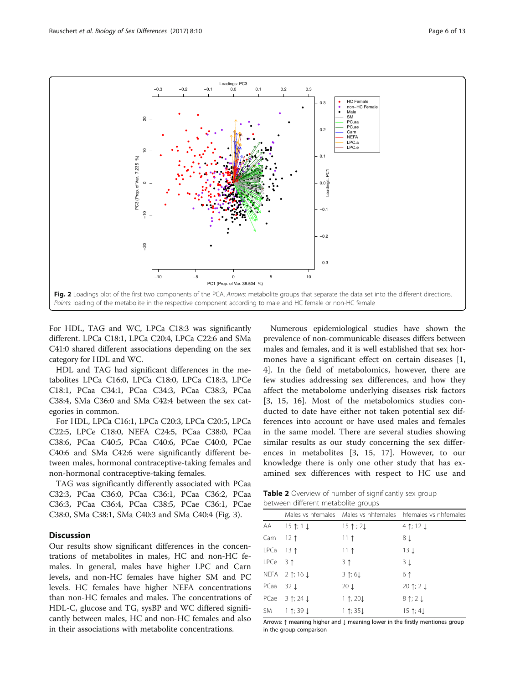<span id="page-5-0"></span>

For HDL, TAG and WC, LPCa C18:3 was significantly different. LPCa C18:1, LPCa C20:4, LPCa C22:6 and SMa C41:0 shared different associations depending on the sex category for HDL and WC.

HDL and TAG had significant differences in the metabolites LPCa C16:0, LPCa C18:0, LPCa C18:3, LPCe C18:1, PCaa C34:1, PCaa C34:3, PCaa C38:3, PCaa C38:4, SMa C36:0 and SMa C42:4 between the sex categories in common.

For HDL, LPCa C16:1, LPCa C20:3, LPCa C20:5, LPCa C22:5, LPCe C18:0, NEFA C24:5, PCaa C38:0, PCaa C38:6, PCaa C40:5, PCaa C40:6, PCae C40:0, PCae C40:6 and SMa C42:6 were significantly different between males, hormonal contraceptive-taking females and non-hormonal contraceptive-taking females.

TAG was significantly differently associated with PCaa C32:3, PCaa C36:0, PCaa C36:1, PCaa C36:2, PCaa C36:3, PCaa C36:4, PCaa C38:5, PCae C36:1, PCae C38:0, SMa C38:1, SMa C40:3 and SMa C40:4 (Fig. [3\)](#page-8-0).

## **Discussion**

Our results show significant differences in the concentrations of metabolites in males, HC and non-HC females. In general, males have higher LPC and Carn levels, and non-HC females have higher SM and PC levels. HC females have higher NEFA concentrations than non-HC females and males. The concentrations of HDL-C, glucose and TG, sysBP and WC differed significantly between males, HC and non-HC females and also in their associations with metabolite concentrations.

Numerous epidemiological studies have shown the prevalence of non-communicable diseases differs between males and females, and it is well established that sex hormones have a significant effect on certain diseases [\[1](#page-11-0), [4\]](#page-11-0). In the field of metabolomics, however, there are few studies addressing sex differences, and how they affect the metabolome underlying diseases risk factors [[3, 15](#page-11-0), [16](#page-11-0)]. Most of the metabolomics studies conducted to date have either not taken potential sex differences into account or have used males and females in the same model. There are several studies showing similar results as our study concerning the sex differences in metabolites [[3, 15, 17\]](#page-11-0). However, to our knowledge there is only one other study that has examined sex differences with respect to HC use and

Table 2 Overview of number of significantly sex group between different metabolite groups

|                                                                                                                                                                                                                                |                                     |                        | Males vs hfemales Males vs nhfemales hfemales vs nhfemales |
|--------------------------------------------------------------------------------------------------------------------------------------------------------------------------------------------------------------------------------|-------------------------------------|------------------------|------------------------------------------------------------|
| AA and a structure of the structure of the structure of the structure of the structure of the structure of the structure of the structure of the structure of the structure of the structure of the structure of the structure | $15$ 1; 1 $\downarrow$              | $15 \uparrow$ ; 2      | $4$ 1; 12 $\downarrow$                                     |
| Carn                                                                                                                                                                                                                           | 12 <sub>1</sub>                     | 11 <sub>1</sub>        | 8↓                                                         |
| LPCa                                                                                                                                                                                                                           | 13 <sub>1</sub>                     | 11 <sub>1</sub>        | 13 <sup>1</sup>                                            |
| $LPCe$ 3 1                                                                                                                                                                                                                     |                                     | 3 ↑                    | 3 l                                                        |
|                                                                                                                                                                                                                                | NEFA 2 1; 16 J                      | $3$ 1; 61              | 6 ↑                                                        |
| PCaa                                                                                                                                                                                                                           | $32 \downarrow$                     | $20 \downarrow$        | 20 ↑; 2 ↓                                                  |
|                                                                                                                                                                                                                                | PCae $3 \uparrow$ ; 24 $\downarrow$ | $1$ 1, 20 $\downarrow$ | $8$ $\uparrow$ ; 2 $\downarrow$                            |
|                                                                                                                                                                                                                                | SM 1 1; 39 L                        | $1$ 1; 35 $\downarrow$ | $15$ 1; 4                                                  |

Arrows: ↑ meaning higher and ↓ meaning lower in the firstly mentiones group in the group comparison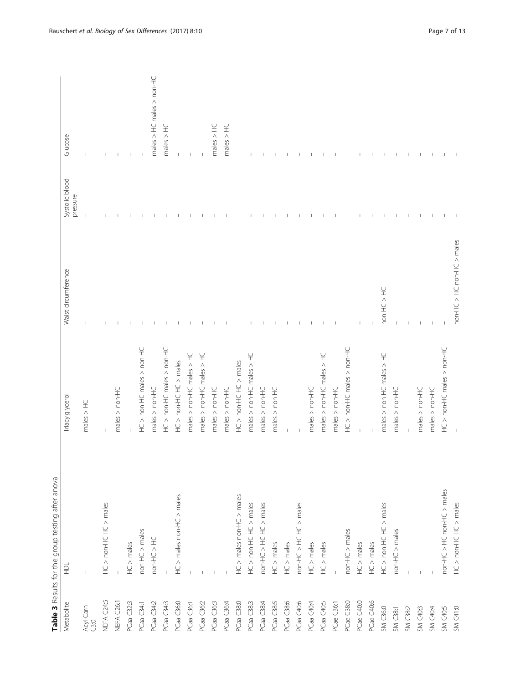<span id="page-6-0"></span>

|                   | Table 3 Results for the group testing after anova |                                |                            |                            |                             |
|-------------------|---------------------------------------------------|--------------------------------|----------------------------|----------------------------|-----------------------------|
| Metabolite        | 즢                                                 | Triacylglycerol                | Waist circumference        | Systolic blood<br>pressure | Glucose                     |
| Acyl-Carn<br>C3:0 | $\,$ $\,$                                         | males > HC                     | $\mathbf{I}$               | $\overline{\phantom{a}}$   | J.                          |
| NEFA C24:5        | HC > non-HC HC > males                            |                                |                            |                            |                             |
| NEFA C26:1        |                                                   | $males$ > $non-HC$             |                            |                            |                             |
| PCaa C32:3        | $HC$ $>$ males                                    |                                |                            |                            | T                           |
| PCaa C34:1        | non-HC > males                                    | $HC > non-HC$ males $> non-HC$ |                            |                            |                             |
| PCaa C34:2        | non-HC > HC                                       | $males$ > $non-HC$             |                            |                            | $males > HC$ males > non-HC |
| PCaa C34:3        |                                                   | HC > non-HC males > non-HC     |                            |                            | males > HC                  |
| PCaa C36:0        | $HC >$ males non-HC $>$ males                     | HC > non-HC HC > males         |                            |                            |                             |
| PCaa C36:1        |                                                   | $males$ > non-HC males > HC    |                            |                            |                             |
| PCaa C36:2        |                                                   | $males > non-HC males > HC$    |                            |                            |                             |
| PCaa C36:3        |                                                   | $males$ > $non-HC$             |                            |                            | males > HC                  |
| PCaa C36:4        |                                                   | $males$ > $non-HC$             |                            |                            | males > HC                  |
| PCaa C38:0        | $HC >$ males non-HC $>$ males                     | HC > non-HC HC > males         |                            |                            |                             |
| PCaa C38:3        | HC > non-HC HC > males                            | $males$ > non-HC males > HC    |                            |                            |                             |
| PCaa C38:4        | non-HC > HC HC > males                            | $males$ > $non-HC$             |                            |                            |                             |
| PCaa C38:5        | $HC$ $>$ males                                    | $males$ > $non-HC$             |                            |                            |                             |
| PCaa C38:6        | $HC >$ males                                      |                                |                            |                            |                             |
| PCaa C40:6        | non-HC > HC + males                               |                                |                            |                            |                             |
| PCaa C40:4        | $HC$ $>$ males                                    | $males$ > $non-HC$             |                            |                            |                             |
| PCaa C40:5        | $HC$ $>$ males                                    | males > non-HC males > HC      |                            |                            |                             |
| PCae C36:1        |                                                   | $males$ > $non-HC$             |                            |                            |                             |
| PCae C38:0        | non-HC > males                                    | HC > non-HC males > non-HC     |                            |                            |                             |
| PCae C40:0        | $HC >$ males                                      |                                |                            |                            |                             |
| PCae C40:6        | $HC$ $>$ males                                    |                                |                            |                            |                             |
| SM C36:0          | HC > non-HC HC > males                            | males > non-HC males > HC      | non-HC > HC                |                            |                             |
| SM C38:1          | non-HC > males                                    | $males$ > $non-HC$             |                            |                            |                             |
| SM C38:2          |                                                   |                                |                            |                            |                             |
| SM C40:3          |                                                   | $males$ > $non-HC$             |                            |                            |                             |
| SM C40:4          |                                                   | $males$ > $non-HC$             | T                          |                            |                             |
| SM C40:5          | non-HC > HC non-HC > males                        | $HC > non+IC$ males $> non+IC$ |                            |                            |                             |
| SM C41:0          | HC > non-HC HC > males                            |                                | non-HC > HC non-HC > males |                            |                             |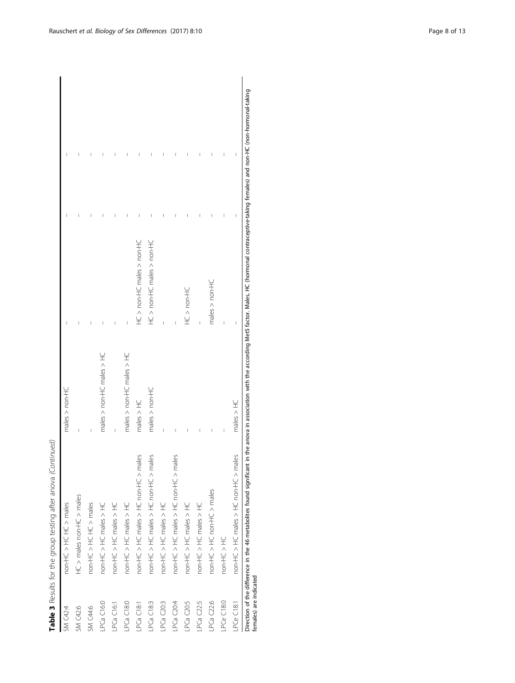|            | Table 3 Results for the group testing after anova (Continued) |                                |                            |  |
|------------|---------------------------------------------------------------|--------------------------------|----------------------------|--|
| SM C42:4   | non-HC > HC HC > males                                        | $males$ > $non-HC$             |                            |  |
| SM C42:6   | $HC >$ males non-HC $>$ males                                 | I                              |                            |  |
| SM C44:6   | non-HC > HC > males                                           | $\begin{array}{c} \end{array}$ |                            |  |
| LPCa C16:0 | non-HC > HC males > HC                                        | $males > non-HC males > HC$    |                            |  |
| LPCa C16:1 | non-HC > HC males > HC                                        | I                              |                            |  |
| LPCa C18:0 | non-HC > HC males > HC                                        | males > non-HC males > HC      |                            |  |
| LPCa C18:1 | non-HC > HC males > HC non-HC > males                         | males > HC                     | HC > non-HC males > non-HC |  |
| LPCa C18:3 | non-HC > HC males > HC non-HC > males                         | $males$ > $non-HC$             | HC > non-HC males > non-HC |  |
| LPCa C20:3 | non-HC > HC males > HC                                        | $\overline{\phantom{a}}$       | I                          |  |
| LPCa C20:4 | les<br>non-HC > HC males > HC non-HC > ma                     |                                |                            |  |
| LPCa C20:5 | non-HC > HC males > HC                                        |                                | HC > non-HC                |  |
| LPCa C22:5 | non-HC > HC males > HC                                        |                                |                            |  |
| LPCa C22:6 | non-HC > HC non-HC > males                                    |                                | $males$ > $non-HC$         |  |
| LPCe C18:0 | non-HC > HC                                                   | $\overline{\phantom{a}}$       | I                          |  |
| LPCe C18:1 | non-HC > HC males > HC non-HC > males                         | males > HC                     |                            |  |

 $\begin{array}{c} \hline \end{array}$ Direction of the difference in the 46 metabolites found significant in the anova in association with the according MetS factor. Males, HC (hormonal contraceptive-taking females) and non-HC (non-hormonal-taking females) are indicated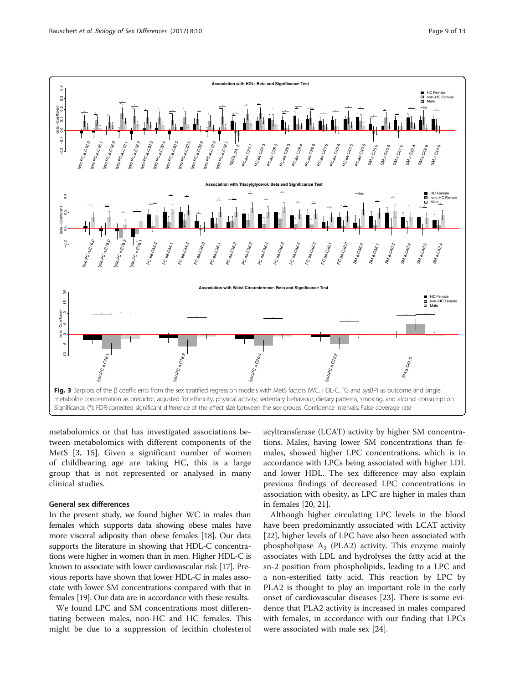<span id="page-8-0"></span>

metabolomics or that has investigated associations between metabolomics with different components of the MetS [\[3](#page-11-0), [15\]](#page-11-0). Given a significant number of women of childbearing age are taking HC, this is a large group that is not represented or analysed in many clinical studies.

## General sex differences

In the present study, we found higher WC in males than females which supports data showing obese males have more visceral adiposity than obese females [[18](#page-11-0)]. Our data supports the literature in showing that HDL-C concentrations were higher in women than in men. Higher HDL-C is known to associate with lower cardiovascular risk [[17](#page-11-0)]. Previous reports have shown that lower HDL-C in males associate with lower SM concentrations compared with that in females [[19](#page-11-0)]. Our data are in accordance with these results.

We found LPC and SM concentrations most differentiating between males, non-HC and HC females. This might be due to a suppression of lecithin cholesterol

acyltransferase (LCAT) activity by higher SM concentrations. Males, having lower SM concentrations than females, showed higher LPC concentrations, which is in accordance with LPCs being associated with higher LDL and lower HDL. The sex difference may also explain previous findings of decreased LPC concentrations in association with obesity, as LPC are higher in males than in females [\[20](#page-11-0), [21](#page-11-0)].

Although higher circulating LPC levels in the blood have been predominantly associated with LCAT activity [[22\]](#page-11-0), higher levels of LPC have also been associated with phospholipase  $A_2$  (PLA2) activity. This enzyme mainly associates with LDL and hydrolyses the fatty acid at the sn-2 position from phospholipids, leading to a LPC and a non-esterified fatty acid. This reaction by LPC by PLA2 is thought to play an important role in the early onset of cardiovascular diseases [\[23](#page-11-0)]. There is some evidence that PLA2 activity is increased in males compared with females, in accordance with our finding that LPCs were associated with male sex [[24](#page-11-0)].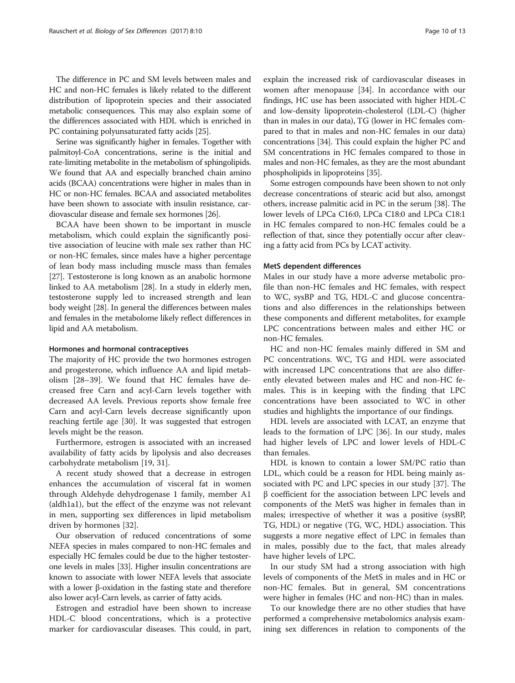The difference in PC and SM levels between males and HC and non-HC females is likely related to the different distribution of lipoprotein species and their associated metabolic consequences. This may also explain some of the differences associated with HDL which is enriched in PC containing polyunsaturated fatty acids [\[25\]](#page-11-0).

Serine was significantly higher in females. Together with palmitoyl-CoA concentrations, serine is the initial and rate-limiting metabolite in the metabolism of sphingolipids. We found that AA and especially branched chain amino acids (BCAA) concentrations were higher in males than in HC or non-HC females. BCAA and associated metabolites have been shown to associate with insulin resistance, cardiovascular disease and female sex hormones [\[26\]](#page-11-0).

BCAA have been shown to be important in muscle metabolism, which could explain the significantly positive association of leucine with male sex rather than HC or non-HC females, since males have a higher percentage of lean body mass including muscle mass than females [[27](#page-11-0)]. Testosterone is long known as an anabolic hormone linked to AA metabolism [\[28](#page-11-0)]. In a study in elderly men, testosterone supply led to increased strength and lean body weight [\[28\]](#page-11-0). In general the differences between males and females in the metabolome likely reflect differences in lipid and AA metabolism.

#### Hormones and hormonal contraceptives

The majority of HC provide the two hormones estrogen and progesterone, which influence AA and lipid metabolism [[28](#page-11-0)–[39](#page-12-0)]. We found that HC females have decreased free Carn and acyl-Carn levels together with decreased AA levels. Previous reports show female free Carn and acyl-Carn levels decrease significantly upon reaching fertile age [[30\]](#page-11-0). It was suggested that estrogen levels might be the reason.

Furthermore, estrogen is associated with an increased availability of fatty acids by lipolysis and also decreases carbohydrate metabolism [\[19](#page-11-0), [31](#page-11-0)].

A recent study showed that a decrease in estrogen enhances the accumulation of visceral fat in women through Aldehyde dehydrogenase 1 family, member A1 (aldh1a1), but the effect of the enzyme was not relevant in men, supporting sex differences in lipid metabolism driven by hormones [[32\]](#page-11-0).

Our observation of reduced concentrations of some NEFA species in males compared to non-HC females and especially HC females could be due to the higher testosterone levels in males [[33](#page-11-0)]. Higher insulin concentrations are known to associate with lower NEFA levels that associate with a lower β-oxidation in the fasting state and therefore also lower acyl-Carn levels, as carrier of fatty acids.

Estrogen and estradiol have been shown to increase HDL-C blood concentrations, which is a protective marker for cardiovascular diseases. This could, in part, explain the increased risk of cardiovascular diseases in women after menopause [\[34](#page-11-0)]. In accordance with our findings, HC use has been associated with higher HDL-C and low-density lipoprotein-cholesterol (LDL-C) (higher than in males in our data), TG (lower in HC females compared to that in males and non-HC females in our data) concentrations [[34\]](#page-11-0). This could explain the higher PC and SM concentrations in HC females compared to those in males and non-HC females, as they are the most abundant phospholipids in lipoproteins [\[35\]](#page-12-0).

Some estrogen compounds have been shown to not only decrease concentrations of stearic acid but also, amongst others, increase palmitic acid in PC in the serum [\[38\]](#page-12-0). The lower levels of LPCa C16:0, LPCa C18:0 and LPCa C18:1 in HC females compared to non-HC females could be a reflection of that, since they potentially occur after cleaving a fatty acid from PCs by LCAT activity.

#### MetS dependent differences

Males in our study have a more adverse metabolic profile than non-HC females and HC females, with respect to WC, sysBP and TG, HDL-C and glucose concentrations and also differences in the relationships between these components and different metabolites, for example LPC concentrations between males and either HC or non-HC females.

HC and non-HC females mainly differed in SM and PC concentrations. WC, TG and HDL were associated with increased LPC concentrations that are also differently elevated between males and HC and non-HC females. This is in keeping with the finding that LPC concentrations have been associated to WC in other studies and highlights the importance of our findings.

HDL levels are associated with LCAT, an enzyme that leads to the formation of LPC [\[36](#page-12-0)]. In our study, males had higher levels of LPC and lower levels of HDL-C than females.

HDL is known to contain a lower SM/PC ratio than LDL, which could be a reason for HDL being mainly associated with PC and LPC species in our study [\[37](#page-12-0)]. The β coefficient for the association between LPC levels and components of the MetS was higher in females than in males; irrespective of whether it was a positive (sysBP, TG, HDL) or negative (TG, WC, HDL) association. This suggests a more negative effect of LPC in females than in males, possibly due to the fact, that males already have higher levels of LPC.

In our study SM had a strong association with high levels of components of the MetS in males and in HC or non-HC females. But in general, SM concentrations were higher in females (HC and non-HC) than in males.

To our knowledge there are no other studies that have performed a comprehensive metabolomics analysis examining sex differences in relation to components of the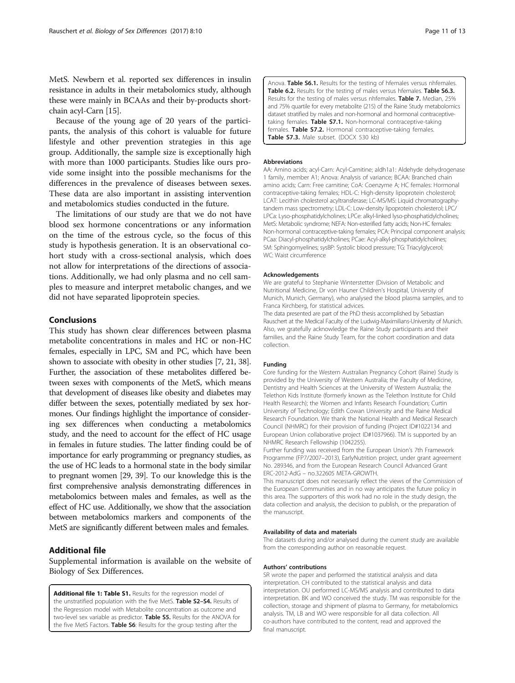<span id="page-10-0"></span>MetS. Newbern et al. reported sex differences in insulin resistance in adults in their metabolomics study, although these were mainly in BCAAs and their by-products shortchain acyl-Carn [\[15\]](#page-11-0).

Because of the young age of 20 years of the participants, the analysis of this cohort is valuable for future lifestyle and other prevention strategies in this age group. Additionally, the sample size is exceptionally high with more than 1000 participants. Studies like ours provide some insight into the possible mechanisms for the differences in the prevalence of diseases between sexes. These data are also important in assisting intervention and metabolomics studies conducted in the future.

The limitations of our study are that we do not have blood sex hormone concentrations or any information on the time of the estrous cycle, so the focus of this study is hypothesis generation. It is an observational cohort study with a cross-sectional analysis, which does not allow for interpretations of the directions of associations. Additionally, we had only plasma and no cell samples to measure and interpret metabolic changes, and we did not have separated lipoprotein species.

## Conclusions

This study has shown clear differences between plasma metabolite concentrations in males and HC or non-HC females, especially in LPC, SM and PC, which have been shown to associate with obesity in other studies [[7, 21,](#page-11-0) [38](#page-12-0)]. Further, the association of these metabolites differed between sexes with components of the MetS, which means that development of diseases like obesity and diabetes may differ between the sexes, potentially mediated by sex hormones. Our findings highlight the importance of considering sex differences when conducting a metabolomics study, and the need to account for the effect of HC usage in females in future studies. The latter finding could be of importance for early programming or pregnancy studies, as the use of HC leads to a hormonal state in the body similar to pregnant women [[29](#page-11-0), [39\]](#page-12-0). To our knowledge this is the first comprehensive analysis demonstrating differences in metabolomics between males and females, as well as the effect of HC use. Additionally, we show that the association between metabolomics markers and components of the MetS are significantly different between males and females.

#### Additional file

Supplemental information is available on the website of Biology of Sex Differences.

[Additional file 1: Table S1.](dx.doi.org/10.1186/s13293-017-0131-0) Results for the regression model of the unstratified population with the five MetS. Table S2-S4. Results of the Regression model with Metabolite concentration as outcome and two-level sex variable as predictor. Table S5. Results for the ANOVA for the five MetS Factors. Table S6: Results for the group testing after the

Anova. Table S6.1. Results for the testing of hfemales versus nhfemales. Table 6.2. Results for the testing of males versus hfemales. Table S6.3. Results for the testing of males versus nhfemales. Table 7. Median, 25% and 75% quartile for every metabolite (215) of the Raine Study metabolomics dataset stratified by males and non-hormonal and hormonal contraceptivetaking females. Table S7.1. Non-hormonal contraceptive-taking females. Table S7.2. Hormonal contraceptive-taking females. Table S7.3. Male subset. (DOCX 530 kb)

#### Abbreviations

AA: Amino acids; acyl-Carn: Acyl-Carnitine; aldh1a1: Aldehyde dehydrogenase 1 family, member A1; Anova: Analysis of variance; BCAA: Branched chain amino acids; Carn: Free carnitine; CoA: Coenzyme A; HC females: Hormonal contraceptive-taking females; HDL-C: High-density lipoprotein cholesterol; LCAT: Lecithin cholesterol acyltransferase; LC-MS/MS: Liquid chromatographytandem mass spectrometry; LDL-C: Low-density lipoprotein cholesterol; LPC/ LPCa: Lyso-phosphatidylcholines; LPCe: alkyl-linked lyso-phosphatidylcholines; MetS: Metabolic syndrome; NEFA: Non-esterified fatty acids; Non-HC females: Non-hormonal contraceptive-taking females; PCA: Principal component analysis; PCaa: Diacyl-phosphatidylcholines; PCae: Acyl-alkyl-phosphatidylcholines; SM: Sphingomyelines; sysBP: Systolic blood pressure; TG: Triacylglycerol; WC: Waist circumference

#### Acknowledgements

We are grateful to Stephanie Winterstetter (Division of Metabolic and Nutritional Medicine, Dr von Hauner Children's Hospital, University of Munich, Munich, Germany), who analysed the blood plasma samples, and to Franca Kirchberg, for statistical advices.

The data presented are part of the PhD thesis accomplished by Sebastian Rauschert at the Medical Faculty of the Ludwig-Maximilians-University of Munich. Also, we gratefully acknowledge the Raine Study participants and their families, and the Raine Study Team, for the cohort coordination and data collection.

#### Funding

Core funding for the Western Australian Pregnancy Cohort (Raine) Study is provided by the University of Western Australia; the Faculty of Medicine, Dentistry and Health Sciences at the University of Western Australia; the Telethon Kids Institute (formerly known as the Telethon Institute for Child Health Research); the Women and Infants Research Foundation; Curtin University of Technology; Edith Cowan University and the Raine Medical Research Foundation. We thank the National Health and Medical Research Council (NHMRC) for their provision of funding (Project ID#1022134 and European Union collaborative project ID#1037966). TM is supported by an NHMRC Research Fellowship (1042255).

Further funding was received from the European Union's 7th Framework Programme (FP7/2007–2013), EarlyNutrition project, under grant agreement No. 289346, and from the European Research Council Advanced Grant ERC-2012-AdG – no.322605 META-GROWTH.

This manuscript does not necessarily reflect the views of the Commission of the European Communities and in no way anticipates the future policy in this area. The supporters of this work had no role in the study design, the data collection and analysis, the decision to publish, or the preparation of the manuscript.

#### Availability of data and materials

The datasets during and/or analysed during the current study are available from the corresponding author on reasonable request.

#### Authors' contributions

SR wrote the paper and performed the statistical analysis and data interpretation. CH contributed to the statistical analysis and data interpretation. OU performed LC-MS/MS analysis and contributed to data interpretation. BK and WO conceived the study. TM was responsible for the collection, storage and shipment of plasma to Germany, for metabolomics analysis. TM, LB and WO were responsible for all data collection. All co-authors have contributed to the content, read and approved the final manuscript.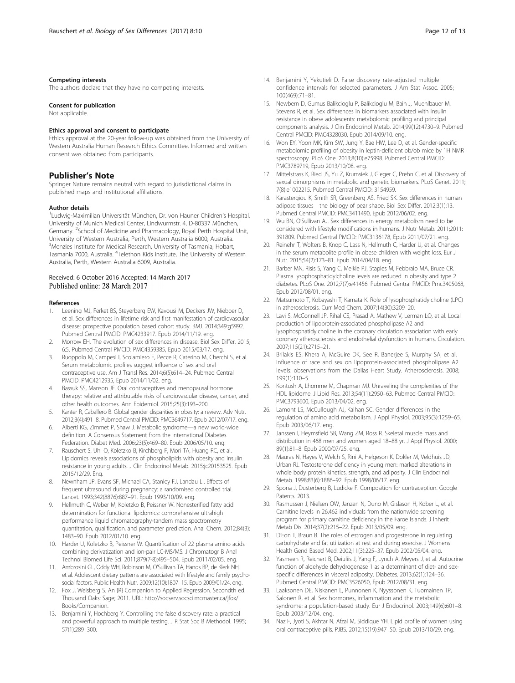#### <span id="page-11-0"></span>Competing interests

The authors declare that they have no competing interests.

#### Consent for publication

Not applicable.

#### Ethics approval and consent to participate

Ethics approval at the 20-year follow-up was obtained from the University of Western Australia Human Research Ethics Committee. Informed and written consent was obtained from participants.

#### Publisher's Note

Springer Nature remains neutral with regard to jurisdictional claims in published maps and institutional affiliations.

#### Author details

<sup>1</sup> Ludwig-Maximilian Universität München, Dr. von Hauner Children's Hospital, University of Munich Medical Center, Lindwurmstr. 4, D-80337 München, Germany. <sup>2</sup>School of Medicine and Pharmacology, Royal Perth Hospital Unit, University of Western Australia, Perth, Western Australia 6000, Australia. <sup>3</sup>Menzies Institute for Medical Research, University of Tasmania, Hobart, Tasmania 7000, Australia. <sup>4</sup>Telethon Kids institute, The University of Western Australia, Perth, Western Australia 6009, Australia.

#### Received: 6 October 2016 Accepted: 14 March 2017 Published online: 28 March 2017

#### References

- 1. Leening MJ, Ferket BS, Steyerberg EW, Kavousi M, Deckers JW, Nieboer D, et al. Sex differences in lifetime risk and first manifestation of cardiovascular disease: prospective population based cohort study. BMJ. 2014;349:g5992. Pubmed Central PMCID: PMC4233917. Epub 2014/11/19. eng.
- 2. Morrow EH. The evolution of sex differences in disease. Biol Sex Differ. 2015; 6:5. Pubmed Central PMCID: PMC4359385, Epub 2015/03/17. eng.
- 3. Ruoppolo M, Campesi I, Scolamiero E, Pecce R, Caterino M, Cherchi S, et al. Serum metabolomic profiles suggest influence of sex and oral contraceptive use. Am J Transl Res. 2014;6(5):614–24. Pubmed Central PMCID: PMC4212935, Epub 2014/11/02. eng.
- 4. Bassuk SS, Manson JE. Oral contraceptives and menopausal hormone therapy: relative and attributable risks of cardiovascular disease, cancer, and other health outcomes. Ann Epidemiol. 2015;25(3):193–200.
- 5. Kanter R, Caballero B. Global gender disparities in obesity: a review. Adv Nutr. 2012;3(4):491–8. Pubmed Central PMCID: PMC3649717. Epub 2012/07/17. eng.
- 6. Alberti KG, Zimmet P, Shaw J. Metabolic syndrome—a new world-wide definition. A Consensus Statement from the International Diabetes Federation. Diabet Med. 2006;23(5):469–80. Epub 2006/05/10. eng.
- Rauschert S, Uhl O, Koletzko B, Kirchberg F, Mori TA, Huang RC, et al. Lipidomics reveals associations of phospholipids with obesity and insulin resistance in young adults. J Clin Endocrinol Metab. 2015:jc20153525. Epub 2015/12/29. Eng.
- 8. Newnham JP, Evans SF, Michael CA, Stanley FJ, Landau LI. Effects of frequent ultrasound during pregnancy: a randomised controlled trial. Lancet. 1993;342(8876):887–91. Epub 1993/10/09. eng.
- 9. Hellmuth C, Weber M, Koletzko B, Peissner W. Nonesterified fatty acid determination for functional lipidomics: comprehensive ultrahigh performance liquid chromatography-tandem mass spectrometry quantitation, qualification, and parameter prediction. Anal Chem. 2012;84(3): 1483–90. Epub 2012/01/10. eng.
- 10. Harder U, Koletzko B, Peissner W. Quantification of 22 plasma amino acids combining derivatization and ion-pair LC-MS/MS. J Chromatogr B Anal Technol Biomed Life Sci. 2011;879(7-8):495–504. Epub 2011/02/05. eng.
- 11. Ambrosini GL, Oddy WH, Robinson M, O'Sullivan TA, Hands BP, de Klerk NH, et al. Adolescent dietary patterns are associated with lifestyle and family psychosocial factors. Public Health Nutr. 2009;12(10):1807–15. Epub 2009/01/24. eng.
- 12. Fox J, Weisberg S. An {R} Companion to Applied Regression. Secondth ed. Thousand Oaks: Sage; 2011. URL: [http://socserv.socsci.mcmaster.ca/jfox/](http://socserv.socsci.mcmaster.ca/jfox/Books/Companion) [Books/Companion](http://socserv.socsci.mcmaster.ca/jfox/Books/Companion).
- 13. Benjamini Y, Hochberg Y. Controlling the false discovery rate: a practical and powerful approach to multiple testing. J R Stat Soc B Methodol. 1995; 57(1):289–300.
- 14. Benjamini Y, Yekutieli D. False discovery rate-adjusted multiple confidence intervals for selected parameters. J Am Stat Assoc. 2005; 100(469):71–81.
- 15. Newbern D, Gumus Balikcioglu P, Balikcioglu M, Bain J, Muehlbauer M, Stevens R, et al. Sex differences in biomarkers associated with insulin resistance in obese adolescents: metabolomic profiling and principal components analysis. J Clin Endocrinol Metab. 2014;99(12):4730–9. Pubmed Central PMCID: PMC4328030, Epub 2014/09/10. eng.
- 16. Won EY, Yoon MK, Kim SW, Jung Y, Bae HW, Lee D, et al. Gender-specific metabolomic profiling of obesity in leptin-deficient ob/ob mice by 1H NMR spectroscopy. PLoS One. 2013;8(10):e75998. Pubmed Central PMCID: PMC3789719, Epub 2013/10/08. eng.
- 17. Mittelstrass K, Ried JS, Yu Z, Krumsiek J, Gieger C, Prehn C, et al. Discovery of sexual dimorphisms in metabolic and genetic biomarkers. PLoS Genet. 2011; 7(8):e1002215. Pubmed Central PMCID: 3154959.
- 18. Karastergiou K, Smith SR, Greenberg AS, Fried SK. Sex differences in human adipose tissues—the biology of pear shape. Biol Sex Differ. 2012;3(1):13. Pubmed Central PMCID: PMC3411490, Epub 2012/06/02. eng.
- 19. Wu BN, O'Sullivan AJ. Sex differences in energy metabolism need to be considered with lifestyle modifications in humans. J Nutr Metab. 2011;2011: 391809. Pubmed Central PMCID: PMC3136178, Epub 2011/07/21. eng.
- 20. Reinehr T, Wolters B, Knop C, Lass N, Hellmuth C, Harder U, et al. Changes in the serum metabolite profile in obese children with weight loss. Eur J Nutr. 2015;54(2):173–81. Epub 2014/04/18. eng.
- 21. Barber MN, Risis S, Yang C, Meikle PJ, Staples M, Febbraio MA, Bruce CR. Plasma lysophosphatidylcholine levels are reduced in obesity and type 2 diabetes. PLoS One. 2012;7(7):e41456. Pubmed Central PMCID: Pmc3405068, Epub 2012/08/01. eng.
- 22. Matsumoto T, Kobayashi T, Kamata K. Role of lysophosphatidylcholine (LPC) in atherosclerosis. Curr Med Chem. 2007;14(30):3209–20.
- 23. Lavi S, McConnell JP, Rihal CS, Prasad A, Mathew V, Lerman LO, et al. Local production of lipoprotein-associated phospholipase A2 and lysophosphatidylcholine in the coronary circulation association with early coronary atherosclerosis and endothelial dysfunction in humans. Circulation. 2007;115(21):2715–21.
- Brilakis ES, Khera A, McGuire DK, See R, Banerjee S, Murphy SA, et al. Influence of race and sex on lipoprotein-associated phospholipase A2 levels: observations from the Dallas Heart Study. Atherosclerosis. 2008; 199(1):110–5.
- 25. Kontush A, Lhomme M, Chapman MJ. Unraveling the complexities of the HDL lipidome. J Lipid Res. 2013;54(11):2950–63. Pubmed Central PMCID: PMC3793600, Epub 2013/04/02. eng.
- 26. Lamont LS, McCullough AJ, Kalhan SC. Gender differences in the regulation of amino acid metabolism. J Appl Physiol. 2003;95(3):1259–65. Epub 2003/06/17. eng.
- 27. Janssen I, Heymsfield SB, Wang ZM, Ross R. Skeletal muscle mass and distribution in 468 men and women aged 18–88 yr. J Appl Physiol. 2000; 89(1):81–8. Epub 2000/07/25. eng.
- 28. Mauras N, Hayes V, Welch S, Rini A, Helgeson K, Dokler M, Veldhuis JD, Urban RJ. Testosterone deficiency in young men: marked alterations in whole body protein kinetics, strength, and adiposity. J Clin Endocrinol Metab. 1998;83(6):1886–92. Epub 1998/06/17. eng.
- 29. Spona J, Dusterberg B, Ludicke F. Composition for contraception. Google Patents. 2013.
- 30. Rasmussen J, Nielsen OW, Janzen N, Duno M, Gislason H, Kober L, et al. Carnitine levels in 26,462 individuals from the nationwide screening program for primary carnitine deficiency in the Faroe Islands. J Inherit Metab Dis. 2014;37(2):215–22. Epub 2013/05/09. eng.
- 31. D'Eon T, Braun B. The roles of estrogen and progesterone in regulating carbohydrate and fat utilization at rest and during exercise. J Womens Health Gend Based Med. 2002;11(3):225–37. Epub 2002/05/04. eng.
- 32. Yasmeen R, Reichert B, Deiuliis J, Yang F, Lynch A, Meyers J, et al. Autocrine function of aldehyde dehydrogenase 1 as a determinant of diet- and sexspecific differences in visceral adiposity. Diabetes. 2013;62(1):124–36. Pubmed Central PMCID: PMC3526050, Epub 2012/08/31. eng.
- 33. Laaksonen DE, Niskanen L, Punnonen K, Nyyssonen K, Tuomainen TP, Salonen R, et al. Sex hormones, inflammation and the metabolic syndrome: a population-based study. Eur J Endocrinol. 2003;149(6):601–8. Epub 2003/12/04. eng.
- 34. Naz F, Jyoti S, Akhtar N, Afzal M, Siddique YH. Lipid profile of women using oral contraceptive pills. PJBS. 2012;15(19):947–50. Epub 2013/10/29. eng.